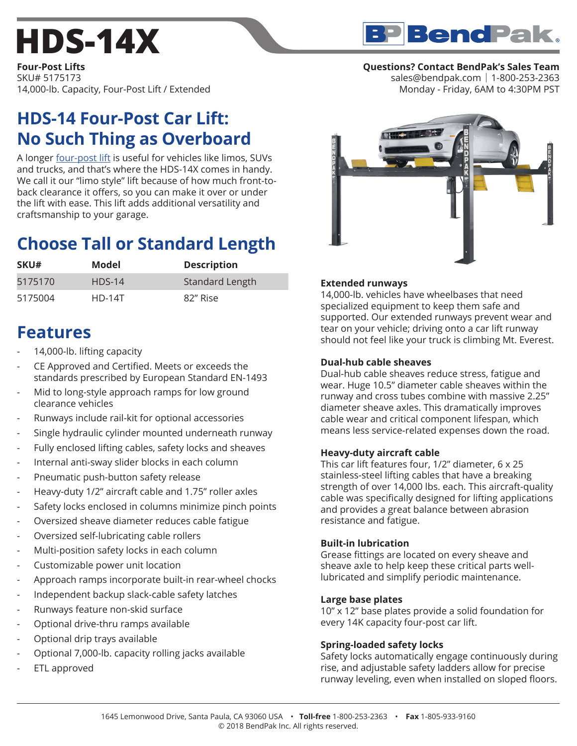# **[HDS-14X](https://www.bendpak.com/car-lifts/four-post-lifts/hds-14x/)**

**BP** Bend Pak.

**Four-Post Lifts** SKU# 5175173 14,000-lb. Capacity, Four-Post Lift / Extended

## **HDS-14 Four-Post Car Lift: No Such Thing as Overboard**

A longer [four-post lift](https://www.bendpak.com/car-lifts/four-post-lifts/) is useful for vehicles like limos, SUVs and trucks, and that's where the HDS-14X comes in handy. We call it our "limo style" lift because of how much front-toback clearance it offers, so you can make it over or under the lift with ease. This lift adds additional versatility and craftsmanship to your garage.

## **Choose Tall or Standard Length**

| SKU#    | Model    | <b>Description</b> |
|---------|----------|--------------------|
| 5175170 | $HDS-14$ | Standard Length    |
| 5175004 | $HD-14T$ | 82" Rise           |

## **Features**

- 14,000-lb. lifting capacity
- CE Approved and Certified. Meets or exceeds the standards prescribed by European Standard EN-1493
- Mid to long-style approach ramps for low ground clearance vehicles
- Runways include rail-kit for optional accessories
- Single hydraulic cylinder mounted underneath runway
- Fully enclosed lifting cables, safety locks and sheaves
- Internal anti-sway slider blocks in each column
- Pneumatic push-button safety release
- Heavy-duty 1/2" aircraft cable and 1.75" roller axles
- Safety locks enclosed in columns minimize pinch points
- Oversized sheave diameter reduces cable fatigue
- Oversized self-lubricating cable rollers
- Multi-position safety locks in each column
- Customizable power unit location
- Approach ramps incorporate built-in rear-wheel chocks
- Independent backup slack-cable safety latches
- Runways feature non-skid surface
- Optional drive-thru ramps available
- Optional drip trays available
- Optional 7,000-lb. capacity rolling jacks available
- ETL approved

### **Questions? Contact BendPak's Sales Team**

sales@bendpak.com | 1-800-253-2363 Monday - Friday, 6AM to 4:30PM PST



#### **Extended runways**

14,000-lb. vehicles have wheelbases that need specialized equipment to keep them safe and supported. Our extended runways prevent wear and tear on your vehicle; driving onto a car lift runway should not feel like your truck is climbing Mt. Everest.

#### **Dual-hub cable sheaves**

Dual-hub cable sheaves reduce stress, fatigue and wear. Huge 10.5" diameter cable sheaves within the runway and cross tubes combine with massive 2.25" diameter sheave axles. This dramatically improves cable wear and critical component lifespan, which means less service-related expenses down the road.

#### **Heavy-duty aircraft cable**

This car lift features four, 1/2" diameter, 6 x 25 stainless-steel lifting cables that have a breaking strength of over 14,000 lbs. each. This aircraft-quality cable was specifically designed for lifting applications and provides a great balance between abrasion resistance and fatigue.

#### **Built-in lubrication**

Grease fittings are located on every sheave and sheave axle to help keep these critical parts welllubricated and simplify periodic maintenance.

#### **Large base plates**

10" x 12" base plates provide a solid foundation for every 14K capacity four-post car lift.

#### **Spring-loaded safety locks**

Safety locks automatically engage continuously during rise, and adjustable safety ladders allow for precise runway leveling, even when installed on sloped floors.